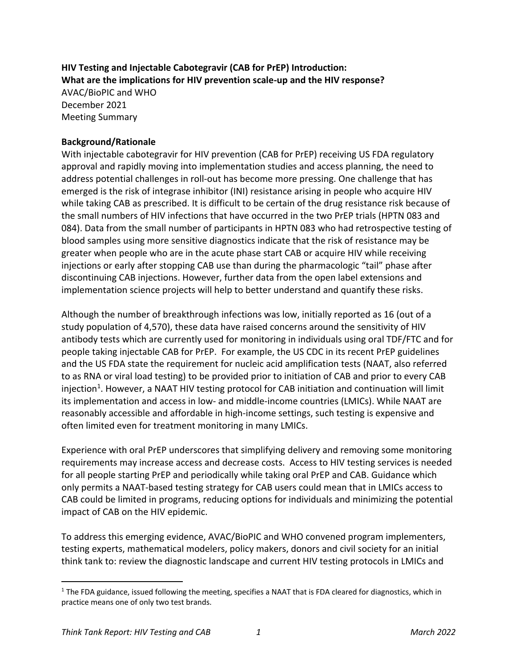**HIV Testing and Injectable Cabotegravir (CAB for PrEP) Introduction: What are the implications for HIV prevention scale-up and the HIV response?** AVAC/BioPIC and WHO December 2021 Meeting Summary

#### **Background/Rationale**

With injectable cabotegravir for HIV prevention (CAB for PrEP) receiving US FDA regulatory approval and rapidly moving into implementation studies and access planning, the need to address potential challenges in roll-out has become more pressing. One challenge that has emerged is the risk of integrase inhibitor (INI) resistance arising in people who acquire HIV while taking CAB as prescribed. It is difficult to be certain of the drug resistance risk because of the small numbers of HIV infections that have occurred in the two PrEP trials (HPTN 083 and 084). Data from the small number of participants in HPTN 083 who had retrospective testing of blood samples using more sensitive diagnostics indicate that the risk of resistance may be greater when people who are in the acute phase start CAB or acquire HIV while receiving injections or early after stopping CAB use than during the pharmacologic "tail" phase after discontinuing CAB injections. However, further data from the open label extensions and implementation science projects will help to better understand and quantify these risks.

Although the number of breakthrough infections was low, initially reported as 16 (out of a study population of 4,570), these data have raised concerns around the sensitivity of HIV antibody tests which are currently used for monitoring in individuals using oral TDF/FTC and for people taking injectable CAB for PrEP. For example, the US CDC in its recent PrEP guidelines and the US FDA state the requirement for nucleic acid amplification tests (NAAT, also referred to as RNA or viral load testing) to be provided prior to initiation of CAB and prior to every CAB injection<sup>1</sup>. However, a NAAT HIV testing protocol for CAB initiation and continuation will limit its implementation and access in low- and middle-income countries (LMICs). While NAAT are reasonably accessible and affordable in high-income settings, such testing is expensive and often limited even for treatment monitoring in many LMICs.

Experience with oral PrEP underscores that simplifying delivery and removing some monitoring requirements may increase access and decrease costs. Access to HIV testing services is needed for all people starting PrEP and periodically while taking oral PrEP and CAB. Guidance which only permits a NAAT-based testing strategy for CAB users could mean that in LMICs access to CAB could be limited in programs, reducing options for individuals and minimizing the potential impact of CAB on the HIV epidemic.

To address this emerging evidence, AVAC/BioPIC and WHO convened program implementers, testing experts, mathematical modelers, policy makers, donors and civil society for an initial think tank to: review the diagnostic landscape and current HIV testing protocols in LMICs and

 $1$  The FDA guidance, issued following the meeting, specifies a NAAT that is FDA cleared for diagnostics, which in practice means one of only two test brands.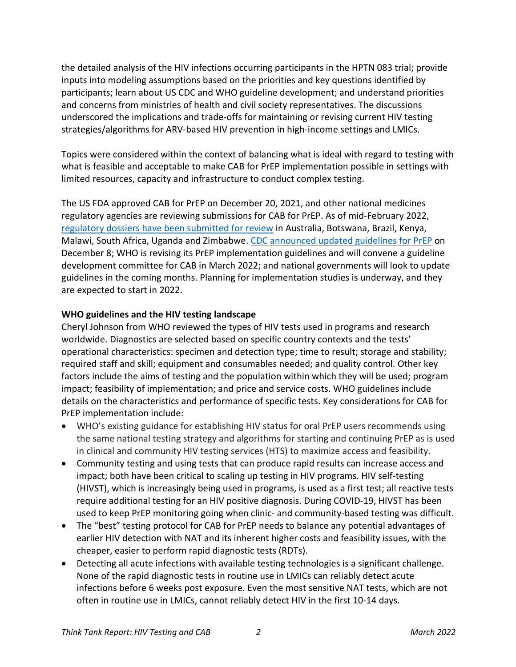the detailed analysis of the HIV infections occurring participants in the HPTN 083 trial; provide inputs into modeling assumptions based on the priorities and key questions identified by participants; learn about US CDC and WHO guideline development; and understand priorities and concerns from ministries of health and civil society representatives. The discussions underscored the implications and trade-offs for maintaining or revising current HIV testing strategies/algorithms for ARV-based HIV prevention in high-income settings and LMICs.

Topics were considered within the context of balancing what is ideal with regard to testing with what is feasible and acceptable to make CAB for PrEP implementation possible in settings with limited resources, capacity and infrastructure to conduct complex testing.

The US FDA approved CAB for PrEP on December 20, 2021, and other national medicines regulatory agencies are reviewing submissions for CAB for PrEP. As of mid-February 2022, regulatory dossiers have been submitted for review in Australia, Botswana, Brazil, Kenya, Malawi, South Africa, Uganda and Zimbabwe. CDC announced updated guidelines for PrEP on December 8; WHO is revising its PrEP implementation guidelines and will convene a guideline development committee for CAB in March 2022; and national governments will look to update guidelines in the coming months. Planning for implementation studies is underway, and they are expected to start in 2022.

# **WHO guidelines and the HIV testing landscape**

Cheryl Johnson from WHO reviewed the types of HIV tests used in programs and research worldwide. Diagnostics are selected based on specific country contexts and the tests' operational characteristics: specimen and detection type; time to result; storage and stability; required staff and skill; equipment and consumables needed; and quality control. Other key factors include the aims of testing and the population within which they will be used; program impact; feasibility of implementation; and price and service costs. WHO guidelines include details on the characteristics and performance of specific tests. Key considerations for CAB for PrEP implementation include:

- WHO's existing guidance for establishing HIV status for oral PrEP users recommends using the same national testing strategy and algorithms for starting and continuing PrEP as is used in clinical and community HIV testing services (HTS) to maximize access and feasibility.
- Community testing and using tests that can produce rapid results can increase access and impact; both have been critical to scaling up testing in HIV programs. HIV self-testing (HIVST), which is increasingly being used in programs, is used as a first test; all reactive tests require additional testing for an HIV positive diagnosis. During COVID-19, HIVST has been used to keep PrEP monitoring going when clinic- and community-based testing was difficult.
- The "best" testing protocol for CAB for PrEP needs to balance any potential advantages of earlier HIV detection with NAT and its inherent higher costs and feasibility issues, with the cheaper, easier to perform rapid diagnostic tests (RDTs).
- Detecting all acute infections with available testing technologies is a significant challenge. None of the rapid diagnostic tests in routine use in LMICs can reliably detect acute infections before 6 weeks post exposure. Even the most sensitive NAT tests, which are not often in routine use in LMICs, cannot reliably detect HIV in the first 10-14 days.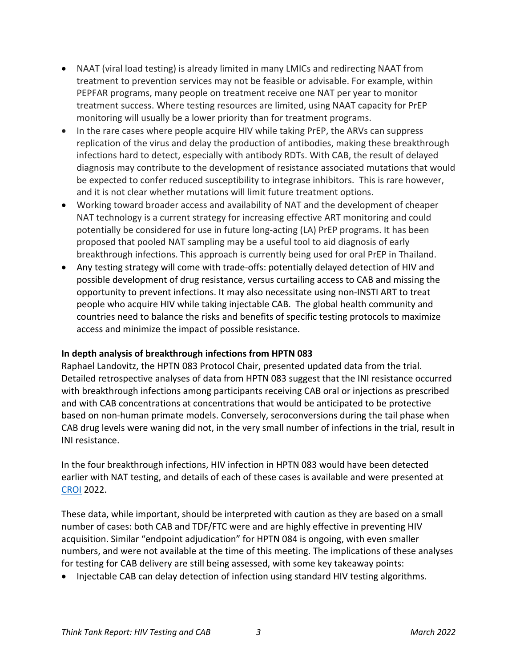- NAAT (viral load testing) is already limited in many LMICs and redirecting NAAT from treatment to prevention services may not be feasible or advisable. For example, within PEPFAR programs, many people on treatment receive one NAT per year to monitor treatment success. Where testing resources are limited, using NAAT capacity for PrEP monitoring will usually be a lower priority than for treatment programs.
- In the rare cases where people acquire HIV while taking PrEP, the ARVs can suppress replication of the virus and delay the production of antibodies, making these breakthrough infections hard to detect, especially with antibody RDTs. With CAB, the result of delayed diagnosis may contribute to the development of resistance associated mutations that would be expected to confer reduced susceptibility to integrase inhibitors. This is rare however, and it is not clear whether mutations will limit future treatment options.
- Working toward broader access and availability of NAT and the development of cheaper NAT technology is a current strategy for increasing effective ART monitoring and could potentially be considered for use in future long-acting (LA) PrEP programs. It has been proposed that pooled NAT sampling may be a useful tool to aid diagnosis of early breakthrough infections. This approach is currently being used for oral PrEP in Thailand.
- Any testing strategy will come with trade-offs: potentially delayed detection of HIV and possible development of drug resistance, versus curtailing access to CAB and missing the opportunity to prevent infections. It may also necessitate using non-INSTI ART to treat people who acquire HIV while taking injectable CAB. The global health community and countries need to balance the risks and benefits of specific testing protocols to maximize access and minimize the impact of possible resistance.

## **In depth analysis of breakthrough infections from HPTN 083**

Raphael Landovitz, the HPTN 083 Protocol Chair, presented updated data from the trial. Detailed retrospective analyses of data from HPTN 083 suggest that the INI resistance occurred with breakthrough infections among participants receiving CAB oral or injections as prescribed and with CAB concentrations at concentrations that would be anticipated to be protective based on non-human primate models. Conversely, seroconversions during the tail phase when CAB drug levels were waning did not, in the very small number of infections in the trial, result in INI resistance.

In the four breakthrough infections, HIV infection in HPTN 083 would have been detected earlier with NAT testing, and details of each of these cases is available and were presented at CROI 2022.

These data, while important, should be interpreted with caution as they are based on a small number of cases: both CAB and TDF/FTC were and are highly effective in preventing HIV acquisition. Similar "endpoint adjudication" for HPTN 084 is ongoing, with even smaller numbers, and were not available at the time of this meeting. The implications of these analyses for testing for CAB delivery are still being assessed, with some key takeaway points:

• Injectable CAB can delay detection of infection using standard HIV testing algorithms.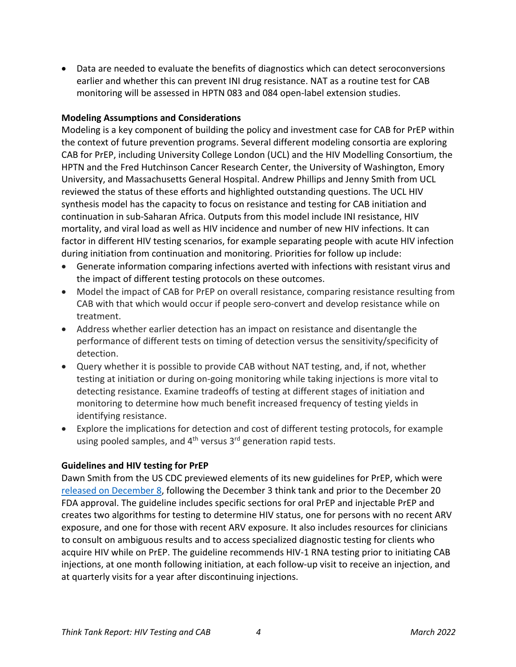• Data are needed to evaluate the benefits of diagnostics which can detect seroconversions earlier and whether this can prevent INI drug resistance. NAT as a routine test for CAB monitoring will be assessed in HPTN 083 and 084 open-label extension studies.

## **Modeling Assumptions and Considerations**

Modeling is a key component of building the policy and investment case for CAB for PrEP within the context of future prevention programs. Several different modeling consortia are exploring CAB for PrEP, including University College London (UCL) and the HIV Modelling Consortium, the HPTN and the Fred Hutchinson Cancer Research Center, the University of Washington, Emory University, and Massachusetts General Hospital. Andrew Phillips and Jenny Smith from UCL reviewed the status of these efforts and highlighted outstanding questions. The UCL HIV synthesis model has the capacity to focus on resistance and testing for CAB initiation and continuation in sub-Saharan Africa. Outputs from this model include INI resistance, HIV mortality, and viral load as well as HIV incidence and number of new HIV infections. It can factor in different HIV testing scenarios, for example separating people with acute HIV infection during initiation from continuation and monitoring. Priorities for follow up include:

- Generate information comparing infections averted with infections with resistant virus and the impact of different testing protocols on these outcomes.
- Model the impact of CAB for PrEP on overall resistance, comparing resistance resulting from CAB with that which would occur if people sero-convert and develop resistance while on treatment.
- Address whether earlier detection has an impact on resistance and disentangle the performance of different tests on timing of detection versus the sensitivity/specificity of detection.
- Query whether it is possible to provide CAB without NAT testing, and, if not, whether testing at initiation or during on-going monitoring while taking injections is more vital to detecting resistance. Examine tradeoffs of testing at different stages of initiation and monitoring to determine how much benefit increased frequency of testing yields in identifying resistance.
- Explore the implications for detection and cost of different testing protocols, for example using pooled samples, and  $4<sup>th</sup>$  versus  $3<sup>rd</sup>$  generation rapid tests.

## **Guidelines and HIV testing for PrEP**

Dawn Smith from the US CDC previewed elements of its new guidelines for PrEP, which were released on December 8, following the December 3 think tank and prior to the December 20 FDA approval. The guideline includes specific sections for oral PrEP and injectable PrEP and creates two algorithms for testing to determine HIV status, one for persons with no recent ARV exposure, and one for those with recent ARV exposure. It also includes resources for clinicians to consult on ambiguous results and to access specialized diagnostic testing for clients who acquire HIV while on PrEP. The guideline recommends HIV-1 RNA testing prior to initiating CAB injections, at one month following initiation, at each follow-up visit to receive an injection, and at quarterly visits for a year after discontinuing injections.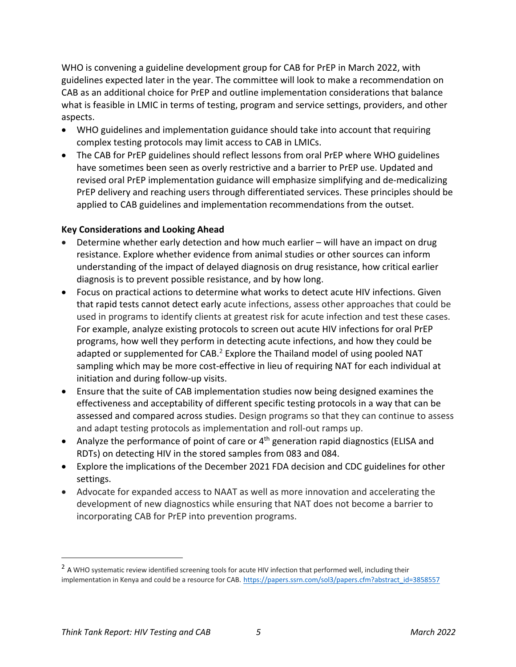WHO is convening a guideline development group for CAB for PrEP in March 2022, with guidelines expected later in the year. The committee will look to make a recommendation on CAB as an additional choice for PrEP and outline implementation considerations that balance what is feasible in LMIC in terms of testing, program and service settings, providers, and other aspects.

- WHO guidelines and implementation guidance should take into account that requiring complex testing protocols may limit access to CAB in LMICs.
- The CAB for PrEP guidelines should reflect lessons from oral PrEP where WHO guidelines have sometimes been seen as overly restrictive and a barrier to PrEP use. Updated and revised oral PrEP implementation guidance will emphasize simplifying and de-medicalizing PrEP delivery and reaching users through differentiated services. These principles should be applied to CAB guidelines and implementation recommendations from the outset.

# **Key Considerations and Looking Ahead**

- Determine whether early detection and how much earlier will have an impact on drug resistance. Explore whether evidence from animal studies or other sources can inform understanding of the impact of delayed diagnosis on drug resistance, how critical earlier diagnosis is to prevent possible resistance, and by how long.
- Focus on practical actions to determine what works to detect acute HIV infections. Given that rapid tests cannot detect early acute infections, assess other approaches that could be used in programs to identify clients at greatest risk for acute infection and test these cases. For example, analyze existing protocols to screen out acute HIV infections for oral PrEP programs, how well they perform in detecting acute infections, and how they could be adapted or supplemented for CAB.<sup>2</sup> Explore the Thailand model of using pooled NAT sampling which may be more cost-effective in lieu of requiring NAT for each individual at initiation and during follow-up visits.
- Ensure that the suite of CAB implementation studies now being designed examines the effectiveness and acceptability of different specific testing protocols in a way that can be assessed and compared across studies. Design programs so that they can continue to assess and adapt testing protocols as implementation and roll-out ramps up.
- Analyze the performance of point of care or  $4<sup>th</sup>$  generation rapid diagnostics (ELISA and RDTs) on detecting HIV in the stored samples from 083 and 084.
- Explore the implications of the December 2021 FDA decision and CDC guidelines for other settings.
- Advocate for expanded access to NAAT as well as more innovation and accelerating the development of new diagnostics while ensuring that NAT does not become a barrier to incorporating CAB for PrEP into prevention programs.

<sup>&</sup>lt;sup>2</sup> A WHO systematic review identified screening tools for acute HIV infection that performed well, including their implementation in Kenya and could be a resource for CAB. https://papers.ssrn.com/sol3/papers.cfm?abstract\_id=3858557